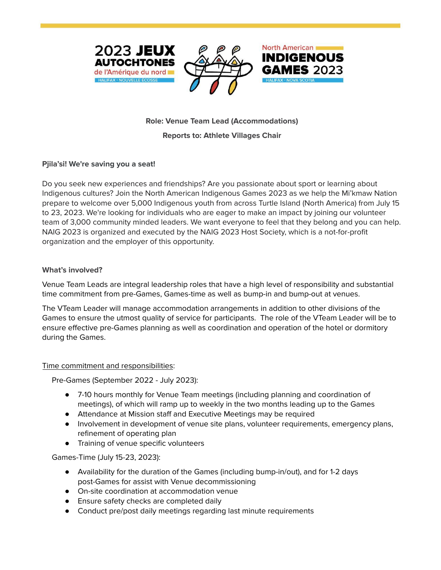





# **Role: Venue Team Lead (Accommodations) Reports to: Athlete Villages Chair**

## **Pjila'si! We're saving you a seat!**

Do you seek new experiences and friendships? Are you passionate about sport or learning about Indigenous cultures? Join the North American Indigenous Games 2023 as we help the Mi'kmaw Nation prepare to welcome over 5,000 Indigenous youth from across Turtle Island (North America) from July 15 to 23, 2023. We're looking for individuals who are eager to make an impact by joining our volunteer team of 3,000 community minded leaders. We want everyone to feel that they belong and you can help. NAIG 2023 is organized and executed by the NAIG 2023 Host Society, which is a not-for-profit organization and the employer of this opportunity.

## **What's involved?**

Venue Team Leads are integral leadership roles that have a high level of responsibility and substantial time commitment from pre-Games, Games-time as well as bump-in and bump-out at venues.

The VTeam Leader will manage accommodation arrangements in addition to other divisions of the Games to ensure the utmost quality of service for participants. The role of the VTeam Leader will be to ensure effective pre-Games planning as well as coordination and operation of the hotel or dormitory during the Games.

## Time commitment and responsibilities:

Pre-Games (September 2022 - July 2023):

- 7-10 hours monthly for Venue Team meetings (including planning and coordination of meetings), of which will ramp up to weekly in the two months leading up to the Games
- Attendance at Mission staff and Executive Meetings may be required
- Involvement in development of venue site plans, volunteer requirements, emergency plans, refinement of operating plan
- Training of venue specific volunteers

Games-Time (July 15-23, 2023):

- Availability for the duration of the Games (including bump-in/out), and for 1-2 days post-Games for assist with Venue decommissioning
- On-site coordination at accommodation venue
- Ensure safety checks are completed daily
- Conduct pre/post daily meetings regarding last minute requirements